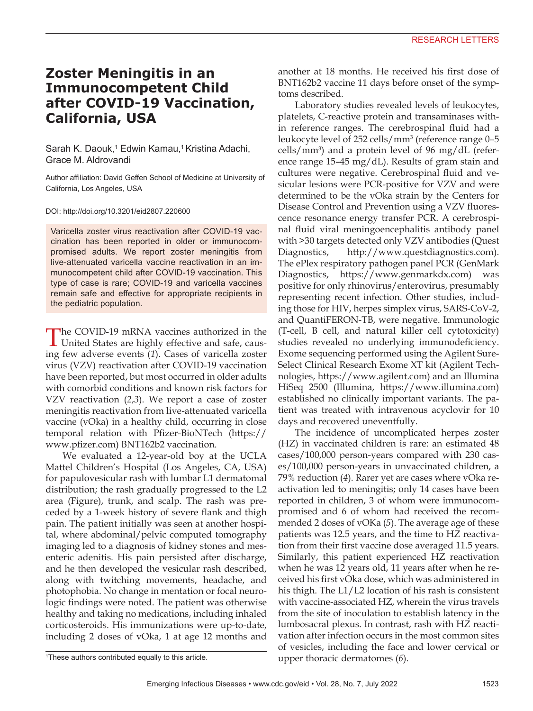## **Zoster Meningitis in an Immunocompetent Child after COVID-19 Vaccination, California, USA**

Sarah K. Daouk,<sup>1</sup> Edwin Kamau,<sup>1</sup> Kristina Adachi, Grace M. Aldrovandi

Author affiliation: David Geffen School of Medicine at University of California, Los Angeles, USA

DOI: http://doi.org/10.3201/eid2807.220600

Varicella zoster virus reactivation after COVID-19 vaccination has been reported in older or immunocompromised adults. We report zoster meningitis from live-attenuated varicella vaccine reactivation in an immunocompetent child after COVID-19 vaccination. This type of case is rare; COVID-19 and varicella vaccines remain safe and effective for appropriate recipients in the pediatric population.

The COVID-19 mRNA vaccines authorized in the United States are highly effective and safe, causing few adverse events (*1*). Cases of varicella zoster virus (VZV) reactivation after COVID-19 vaccination have been reported, but most occurred in older adults with comorbid conditions and known risk factors for VZV reactivation (*2*,*3*). We report a case of zoster meningitis reactivation from live-attenuated varicella vaccine (vOka) in a healthy child, occurring in close temporal relation with Pfizer-BioNTech (https:// www.pfizer.com) BNT162b2 vaccination.

We evaluated a 12-year-old boy at the UCLA Mattel Children's Hospital (Los Angeles, CA, USA) for papulovesicular rash with lumbar L1 dermatomal distribution; the rash gradually progressed to the L2 area (Figure), trunk, and scalp. The rash was preceded by a 1-week history of severe flank and thigh pain. The patient initially was seen at another hospital, where abdominal/pelvic computed tomography imaging led to a diagnosis of kidney stones and mesenteric adenitis. His pain persisted after discharge, and he then developed the vesicular rash described, along with twitching movements, headache, and photophobia. No change in mentation or focal neurologic findings were noted. The patient was otherwise healthy and taking no medications, including inhaled corticosteroids. His immunizations were up-to-date, including 2 doses of vOka, 1 at age 12 months and

another at 18 months. He received his first dose of BNT162b2 vaccine 11 days before onset of the symptoms described.

Laboratory studies revealed levels of leukocytes, platelets, C-reactive protein and transaminases within reference ranges. The cerebrospinal fluid had a leukocyte level of 252 cells/mm<sup>3</sup> (reference range 0–5 cells/mm3 ) and a protein level of 96 mg/dL (reference range 15–45 mg/dL). Results of gram stain and cultures were negative. Cerebrospinal fluid and vesicular lesions were PCR-positive for VZV and were determined to be the vOka strain by the Centers for Disease Control and Prevention using a VZV fluorescence resonance energy transfer PCR. A cerebrospinal fluid viral meningoencephalitis antibody panel with >30 targets detected only VZV antibodies (Quest Diagnostics, http://www.questdiagnostics.com). The ePlex respiratory pathogen panel PCR (GenMark Diagnostics, https://www.genmarkdx.com) was positive for only rhinovirus/enterovirus, presumably representing recent infection. Other studies, including those for HIV, herpes simplex virus, SARS-CoV-2, and QuantiFERON-TB, were negative. Immunologic (T-cell, B cell, and natural killer cell cytotoxicity) studies revealed no underlying immunodeficiency. Exome sequencing performed using the Agilent Sure-Select Clinical Research Exome XT kit (Agilent Technologies, https://www.agilent.com) and an Illumina HiSeq 2500 (Illumina, https://www.illumina.com) established no clinically important variants. The patient was treated with intravenous acyclovir for 10 days and recovered uneventfully.

The incidence of uncomplicated herpes zoster (HZ) in vaccinated children is rare: an estimated 48 cases/100,000 person-years compared with 230 cases/100,000 person-years in unvaccinated children, a 79% reduction (*4*). Rarer yet are cases where vOka reactivation led to meningitis; only 14 cases have been reported in children, 3 of whom were immunocompromised and 6 of whom had received the recommended 2 doses of vOKa (*5*). The average age of these patients was 12.5 years, and the time to HZ reactivation from their first vaccine dose averaged 11.5 years. Similarly, this patient experienced HZ reactivation when he was 12 years old, 11 years after when he received his first vOka dose, which was administered in his thigh. The L1/L2 location of his rash is consistent with vaccine-associated HZ, wherein the virus travels from the site of inoculation to establish latency in the lumbosacral plexus. In contrast, rash with HZ reactivation after infection occurs in the most common sites of vesicles, including the face and lower cervical or upper thoracic dermatomes (*6*).

<sup>1</sup> These authors contributed equally to this article.